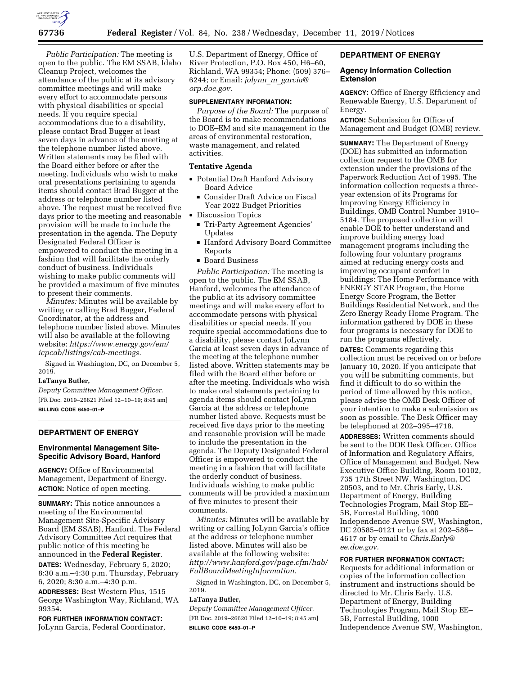

*Public Participation:* The meeting is open to the public. The EM SSAB, Idaho Cleanup Project, welcomes the attendance of the public at its advisory committee meetings and will make every effort to accommodate persons with physical disabilities or special needs. If you require special accommodations due to a disability, please contact Brad Bugger at least seven days in advance of the meeting at the telephone number listed above. Written statements may be filed with the Board either before or after the meeting. Individuals who wish to make oral presentations pertaining to agenda items should contact Brad Bugger at the address or telephone number listed above. The request must be received five days prior to the meeting and reasonable provision will be made to include the presentation in the agenda. The Deputy Designated Federal Officer is empowered to conduct the meeting in a fashion that will facilitate the orderly conduct of business. Individuals wishing to make public comments will be provided a maximum of five minutes to present their comments.

*Minutes:* Minutes will be available by writing or calling Brad Bugger, Federal Coordinator, at the address and telephone number listed above. Minutes will also be available at the following website: *[https://www.energy.gov/em/](https://www.energy.gov/em/icpcab/listings/cab-meetings) [icpcab/listings/cab-meetings.](https://www.energy.gov/em/icpcab/listings/cab-meetings)* 

Signed in Washington, DC, on December 5, 2019.

#### **LaTanya Butler,**

*Deputy Committee Management Officer.*  [FR Doc. 2019–26621 Filed 12–10–19; 8:45 am] **BILLING CODE 6450–01–P** 

## **DEPARTMENT OF ENERGY**

### **Environmental Management Site-Specific Advisory Board, Hanford**

**AGENCY:** Office of Environmental Management, Department of Energy. **ACTION:** Notice of open meeting.

**SUMMARY:** This notice announces a meeting of the Environmental Management Site-Specific Advisory Board (EM SSAB), Hanford. The Federal Advisory Committee Act requires that public notice of this meeting be announced in the **Federal Register**.

**DATES:** Wednesday, February 5, 2020; 8:30 a.m.–4:30 p.m. Thursday, February 6, 2020; 8:30 a.m.–4:30 p.m.

**ADDRESSES:** Best Western Plus, 1515 George Washington Way, Richland, WA 99354.

**FOR FURTHER INFORMATION CONTACT:**  JoLynn Garcia, Federal Coordinator, U.S. Department of Energy, Office of River Protection, P.O. Box 450, H6–60, Richland, WA 99354; Phone: (509) 376– 6244; or Email: *jolynn*\_*m*\_*[garcia@](mailto:jolynn_m_garcia@orp.doe.gov) [orp.doe.gov.](mailto:jolynn_m_garcia@orp.doe.gov)* 

#### **SUPPLEMENTARY INFORMATION:**

*Purpose of the Board:* The purpose of the Board is to make recommendations to DOE–EM and site management in the areas of environmental restoration, waste management, and related activities.

#### **Tentative Agenda**

- Potential Draft Hanford Advisory Board Advice
	- Consider Draft Advice on Fiscal Year 2022 Budget Priorities
- Discussion Topics
	- Tri-Party Agreement Agencies' Updates
	- Hanford Advisory Board Committee Reports
	- Board Business

*Public Participation:* The meeting is open to the public. The EM SSAB, Hanford, welcomes the attendance of the public at its advisory committee meetings and will make every effort to accommodate persons with physical disabilities or special needs. If you require special accommodations due to a disability, please contact JoLynn Garcia at least seven days in advance of the meeting at the telephone number listed above. Written statements may be filed with the Board either before or after the meeting. Individuals who wish to make oral statements pertaining to agenda items should contact JoLynn Garcia at the address or telephone number listed above. Requests must be received five days prior to the meeting and reasonable provision will be made to include the presentation in the agenda. The Deputy Designated Federal Officer is empowered to conduct the meeting in a fashion that will facilitate the orderly conduct of business. Individuals wishing to make public comments will be provided a maximum of five minutes to present their comments.

*Minutes:* Minutes will be available by writing or calling JoLynn Garcia's office at the address or telephone number listed above. Minutes will also be available at the following website: *[http://www.hanford.gov/page.cfm/hab/](http://www.hanford.gov/page.cfm/hab/FullBoardMeetingInformation)  [FullBoardMeetingInformation.](http://www.hanford.gov/page.cfm/hab/FullBoardMeetingInformation)* 

Signed in Washington, DC, on December 5, 2019.

# **LaTanya Butler,**

*Deputy Committee Management Officer.*  [FR Doc. 2019–26620 Filed 12–10–19; 8:45 am] **BILLING CODE 6450–01–P** 

# **DEPARTMENT OF ENERGY**

#### **Agency Information Collection Extension**

**AGENCY:** Office of Energy Efficiency and Renewable Energy, U.S. Department of Energy.

**ACTION:** Submission for Office of Management and Budget (OMB) review.

**SUMMARY:** The Department of Energy (DOE) has submitted an information collection request to the OMB for extension under the provisions of the Paperwork Reduction Act of 1995. The information collection requests a threeyear extension of its Programs for Improving Energy Efficiency in Buildings, OMB Control Number 1910– 5184. The proposed collection will enable DOE to better understand and improve building energy load management programs including the following four voluntary programs aimed at reducing energy costs and improving occupant comfort in buildings: The Home Performance with ENERGY STAR Program, the Home Energy Score Program, the Better Buildings Residential Network, and the Zero Energy Ready Home Program. The information gathered by DOE in these four programs is necessary for DOE to run the programs effectively.

**DATES:** Comments regarding this collection must be received on or before January 10, 2020. If you anticipate that you will be submitting comments, but find it difficult to do so within the period of time allowed by this notice, please advise the OMB Desk Officer of your intention to make a submission as soon as possible. The Desk Officer may be telephoned at 202–395–4718.

**ADDRESSES:** Written comments should be sent to the DOE Desk Officer, Office of Information and Regulatory Affairs, Office of Management and Budget, New Executive Office Building, Room 10102, 735 17th Street NW, Washington, DC 20503, and to Mr. Chris Early, U.S. Department of Energy, Building Technologies Program, Mail Stop EE– 5B, Forrestal Building, 1000 Independence Avenue SW, Washington, DC 20585–0121 or by fax at 202–586– 4617 or by email to *[Chris.Early@](mailto:Chris.Early@ee.doe.gov) [ee.doe.gov.](mailto:Chris.Early@ee.doe.gov)* 

## **FOR FURTHER INFORMATION CONTACT:**

Requests for additional information or copies of the information collection instrument and instructions should be directed to Mr. Chris Early, U.S. Department of Energy, Building Technologies Program, Mail Stop EE– 5B, Forrestal Building, 1000 Independence Avenue SW, Washington,